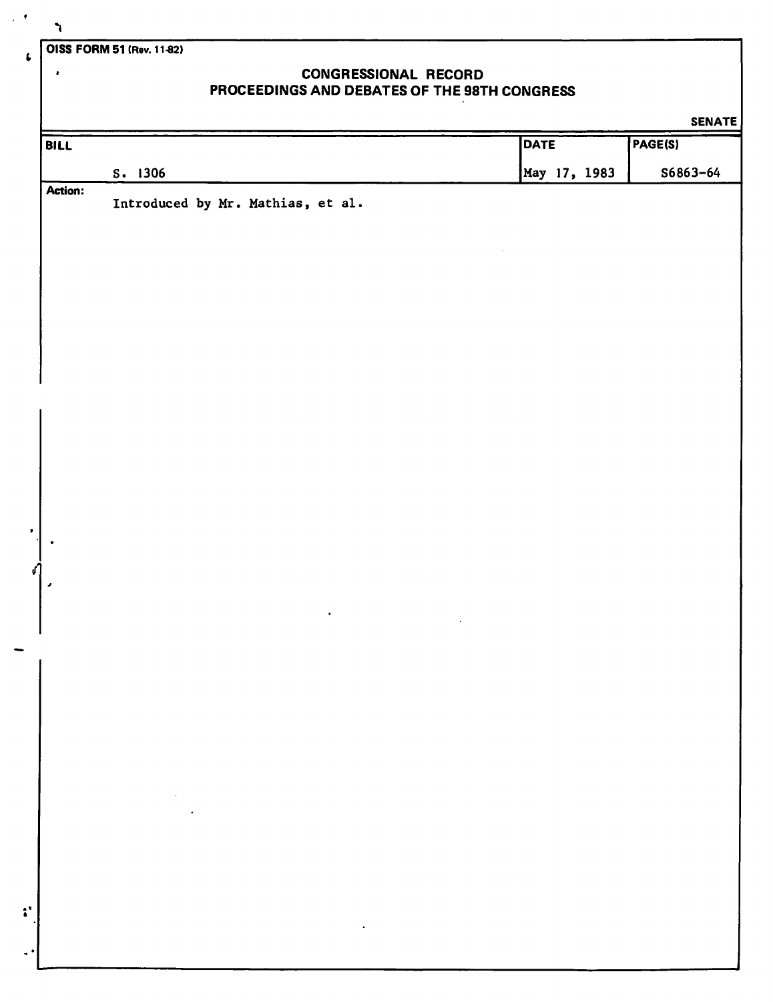**OISS FORM 51 (Rev. 11-82)** 

## **CONGRESSIONAL RECORD PROCEEDINGS AND DEBATES OF THE 98TH CONGRESS**

|             |                                                                                                                                                                                                                                                                                                                                                                                                                                                             |              | <b>SENATE</b> |
|-------------|-------------------------------------------------------------------------------------------------------------------------------------------------------------------------------------------------------------------------------------------------------------------------------------------------------------------------------------------------------------------------------------------------------------------------------------------------------------|--------------|---------------|
| <b>BILL</b> |                                                                                                                                                                                                                                                                                                                                                                                                                                                             | <b>DATE</b>  | PAGE(S)       |
|             | S. 1306                                                                                                                                                                                                                                                                                                                                                                                                                                                     | May 17, 1983 | \$6863-64     |
| Action:     | Introduced by Mr. Mathias, et al.                                                                                                                                                                                                                                                                                                                                                                                                                           |              |               |
|             |                                                                                                                                                                                                                                                                                                                                                                                                                                                             |              |               |
|             |                                                                                                                                                                                                                                                                                                                                                                                                                                                             |              |               |
|             |                                                                                                                                                                                                                                                                                                                                                                                                                                                             |              |               |
|             |                                                                                                                                                                                                                                                                                                                                                                                                                                                             |              |               |
|             |                                                                                                                                                                                                                                                                                                                                                                                                                                                             |              |               |
|             |                                                                                                                                                                                                                                                                                                                                                                                                                                                             |              |               |
|             |                                                                                                                                                                                                                                                                                                                                                                                                                                                             |              |               |
|             |                                                                                                                                                                                                                                                                                                                                                                                                                                                             |              |               |
|             |                                                                                                                                                                                                                                                                                                                                                                                                                                                             |              |               |
|             |                                                                                                                                                                                                                                                                                                                                                                                                                                                             |              |               |
|             |                                                                                                                                                                                                                                                                                                                                                                                                                                                             |              |               |
|             |                                                                                                                                                                                                                                                                                                                                                                                                                                                             |              |               |
|             |                                                                                                                                                                                                                                                                                                                                                                                                                                                             |              |               |
|             |                                                                                                                                                                                                                                                                                                                                                                                                                                                             |              |               |
|             |                                                                                                                                                                                                                                                                                                                                                                                                                                                             |              |               |
|             |                                                                                                                                                                                                                                                                                                                                                                                                                                                             |              |               |
| ٠           |                                                                                                                                                                                                                                                                                                                                                                                                                                                             |              |               |
|             | $\bullet$                                                                                                                                                                                                                                                                                                                                                                                                                                                   |              |               |
|             |                                                                                                                                                                                                                                                                                                                                                                                                                                                             |              |               |
|             |                                                                                                                                                                                                                                                                                                                                                                                                                                                             |              |               |
|             |                                                                                                                                                                                                                                                                                                                                                                                                                                                             |              |               |
|             |                                                                                                                                                                                                                                                                                                                                                                                                                                                             |              |               |
|             |                                                                                                                                                                                                                                                                                                                                                                                                                                                             |              |               |
|             |                                                                                                                                                                                                                                                                                                                                                                                                                                                             |              |               |
|             | $\mathcal{L}_{\text{max}}$ and $\mathcal{L}_{\text{max}}$ and $\mathcal{L}_{\text{max}}$                                                                                                                                                                                                                                                                                                                                                                    |              |               |
|             | $\mathcal{L}(\mathcal{L}(\mathcal{L}(\mathcal{L}(\mathcal{L}(\mathcal{L}(\mathcal{L}(\mathcal{L}(\mathcal{L}(\mathcal{L}(\mathcal{L}(\mathcal{L}(\mathcal{L}(\mathcal{L}(\mathcal{L}(\mathcal{L}(\mathcal{L}(\mathcal{L}(\mathcal{L}(\mathcal{L}(\mathcal{L}(\mathcal{L}(\mathcal{L}(\mathcal{L}(\mathcal{L}(\mathcal{L}(\mathcal{L}(\mathcal{L}(\mathcal{L}(\mathcal{L}(\mathcal{L}(\mathcal{L}(\mathcal{L}(\mathcal{L}(\mathcal{L}(\mathcal{L}(\mathcal{$ |              |               |
|             |                                                                                                                                                                                                                                                                                                                                                                                                                                                             |              |               |
|             |                                                                                                                                                                                                                                                                                                                                                                                                                                                             |              |               |
|             |                                                                                                                                                                                                                                                                                                                                                                                                                                                             |              |               |
|             |                                                                                                                                                                                                                                                                                                                                                                                                                                                             |              |               |
|             | $\sim$                                                                                                                                                                                                                                                                                                                                                                                                                                                      |              |               |
|             |                                                                                                                                                                                                                                                                                                                                                                                                                                                             |              |               |

 $\bullet$ 

 $\hat{\mathcal{F}}$ 

 $\pmb{\mathcal{L}}$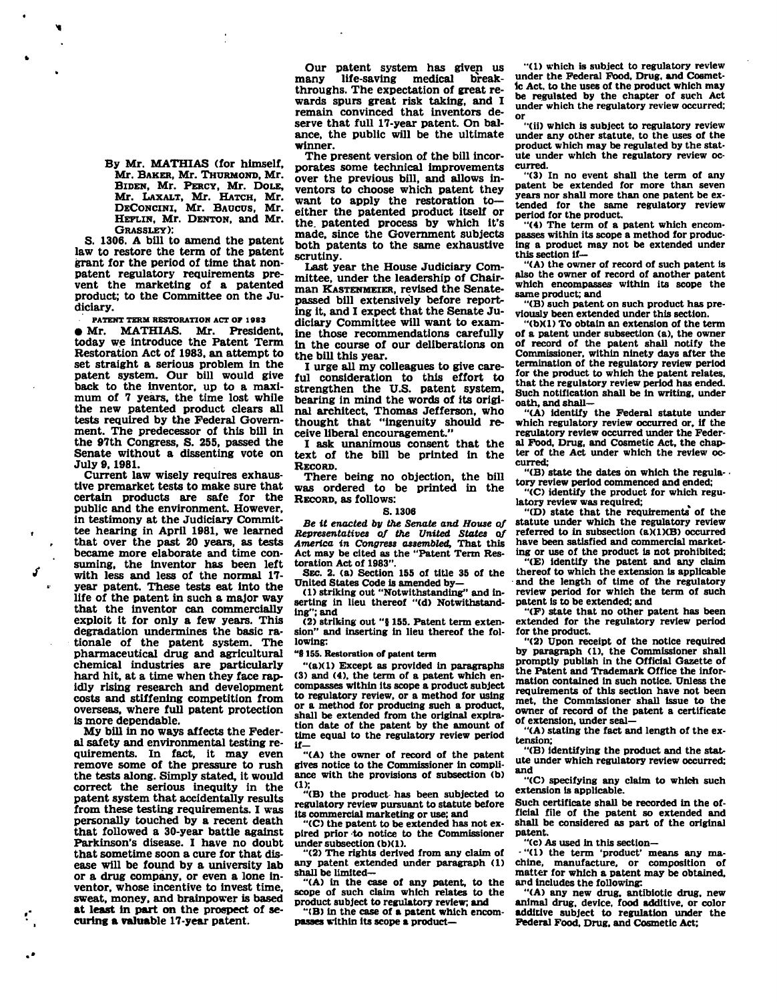**By Mr. MATHIAS (for himself, Mr. BAKER, Mr. THURMOND, Mr. BIDEN, Mr. PERCY, Mr. DOLE, Mr. LAXALT, Mr. HATCH, Mr. DECONCINI, Mr. BAOCUS, Mr. HEFLIN, Mr. DENTON, and Mr. GRASSLEY):** 

**S. 1306. A bill to amend the patent law to restore the term of the patent grant for the period of time that nonpatent regulatory requirements prevent the marketing of a patented product; to the Committee on the Judiciary.** 

**PATENT TERM RESTORATION ACT OF 1983 • Mr. MATHIAS. Mr. President, today we introduce the Patent Term Restoration Act of 1983, an attempt to set straight a serious problem in the patent system. Our bill would give back to the inventor, up to a maximum of 7 years, the time lost while the new patented product clears all tests required by the Federal Government. The predecessor of this bill in the 97th Congress, S. 255, passed the Senate without a dissenting vote on** 

**July 9,1981. Current law wisely requires exhaustive premarket tests to make sure that certain products are safe for the public and the environment. However, in testimony at the Judiciary Committee hearing in April 1981, we learned that over the past 20 years, as tests became more elaborate and time consuming, the inventor has been left with less and less of the normal 17 year patent. These tests eat into the life of the patent in such a major way that the inventor can commercially exploit it for only a few years. This degradation undermines the basic rationale of the patent system. The pharmaceutical drug and agricultural chemical industries are particularly hard hit, at a time when they face rapidly rising research and development costs and stiffening competition from overseas, where full patent protection is more dependable.** 

**My bill in no ways affects the Federal safety and environmental testing requirements. In fact, it may even remove some of the pressure to rush the tests along. Simply stated, it would correct the serious inequity in the patent system that accidentally results from these testing requirements. I was personally touched by a recent death that followed a 30-year battle against Parkinson's disease. I have no doubt that sometime soon a cure for that disease will be found by a university lab or a drug company, or even a lone inventor, whose incentive to invest time, sweat, money, and brainpower is based at least in part on the prospect of securing a valuable 17-year patent.** 

**Our patent system has given us**  life-saving medical break**throughs. The expectation of great rewards spurs great risk taking, and I remain convinced that inventors deserve that full 17-year patent. On balance, the public will be the ultimate winner.** 

**The present version of the bill incorporates some technical improvements over the previous bill, and allows inventors to choose which patent they want to apply the restoration to either the patented product itself or the. patented process by which it's made, since the Government subjects both patents to the same exhaustive scrutiny.** 

**Last year the House Judiciary Committee, under the leadership of Chairman KASTENMEIER, revised the Senatepassed bill extensively before reporting it, and I expect that the Senate Judiciary Committee will want to examine those recommendations carefully in the course of our deliberations on the bill this year.** 

**I urge all my colleagues to give careful consideration to this effort to strengthen the U.S. patent system, bearing in mind the words of its original architect, Thomas Jefferson, who thought that "ingenuity should receive liberal encouragement."** 

**I ask unanimous consent that the text of the bill be printed in the RECORD.** 

**There being no objection, the bill was ordered to be printed in the RECORD, as follows:** 

## **S. 1306**

*Be it enacted by the Senate and House of Representatives of the United States of America in Congress assembled,* **That this Act may be cited as the "Patent Term Restoration Act of 1983".** 

**SEC. 2. (a) Section 155 of title 35 of the United States Code is amended by-**

**(1) striking out "Notwithstanding" and inserting in lieu thereof "(d) Notwithstanding"; and** 

**(2) striking out "5 155. Patent term extension" and inserting in lieu thereof the following:** 

**"8155. Restoration of patent term** 

**"(a)(1) Except as provided in paragraphs (3) and (4), the term of a patent which encompasses within its scope a product subject to regulatory review, or a method for using or a method for producing such a product, shall be extended from the original expiration date of the patent by the amount of time equal to the regulatory review period if-**

**"(A) the owner of record of the patent gives notice to the Commissioner in compliance with the provisions of subsection (b)** 

**(1); "(B) the product has been subjected to regulatory review pursuant to statute before its commercial marketing or use; and "(C) the patent to be extended has not ex-**

**pired prior to notice to the Commissioner under subsection (b)(1).** 

**"(2) The rights derived from any claim of any patent extended under paragraph (1) shall be limited—** 

**"(A) in the case of any patent, to the scope of such claim which relates to the product subject to regulatory review; and** 

**"(B) In the case of a patent which encompasses within its scope a product—** 

**"(1) which is subject to regulatory review under the Federal Food, Drug, and Cosmetic Act. to the uses of the product which may be regulated by the chapter of such Act under which the regulatory review occurred; or** 

**"(ii) which is subject to regulatory review under any other statute, to the uses of the product which may be regulated by the statute under which the regulatory review occurred.** 

**"(3) In no event shall the term of any patent be extended for more than seven years nor shall more than one patent be extended for the same regulatory review period for the product.** 

**"(4) The term of a patent which encompasses within its scope a method for producing a product may not be extended under this section if—** 

**"(A) the owner of record of such patent is also the owner of record of another patent**  which encompasses within its scope the **same product; and** 

**"(B) such patent on such product has previously been extended under this section.** 

**"(b)(1) To obtain an extension of the term of a patent under subsection (a), the owner of record of the patent shall notify the Commissioner, within ninety days after the termination of the regulatory review period for the product to which the patent relates, that the regulatory review period has ended. Such notification shall be in writing, under oath, and shall—** 

**"(A) identify the Federal statute under which regulatory review occurred or, if the regulatory review occurred under the Federal Food, Drug, and Cosmetic Act, the chapter of the Act under which the review occurred;** 

**"(B) state the dates on which the regula- • tory review period commenced and ended;** 

**"(C) identify the product for which regulatory review was required;** 

**"(D) state that the requirements of the statute under which the regulatory review referred to in subsection (a)(1)(B) occurred have been satisfied and commercial marketing or use of the product is not prohibited;** 

**"(E) identify the patent and any claim thereof to which the extension is applicable - and the length of time of the regulatory review period for which the term of such patent is to be extended; and** 

**"(F) state that no other patent has been extended for the regulatory review period for the product.** 

**"(2) Upon receipt of the notice required by paragraph (1), the Commissioner shall promptly publish in the Official Gazette of the Patent and Trademark Office the information contained in such notice. Unless the requirements of this section have not been met, the Commissioner shall issue to the owner of record of the patent a certificate of extension, under seal—** 

**"(A) stating the fact and length of the extension;** 

**"(B) identifying the product and the statute under which regulatory review occurred; and** 

**"(C) specifying any claim to which such extension is applicable.** 

**Such certificate shall be recorded in the official file of the patent so extended and shall be considered as part of the original patent.** 

**"(c) As used in this section—** 

**-"(1) the term 'product' means any machine, manufacture, or composition of matter for which a patent may be obtained, and includes the following:** 

**"(A) any new drug, antibiotic drug, new animal drug, device, food additive, or color additive subject to regulation under the Federal Food, Drug, and Cosmetic Act;**